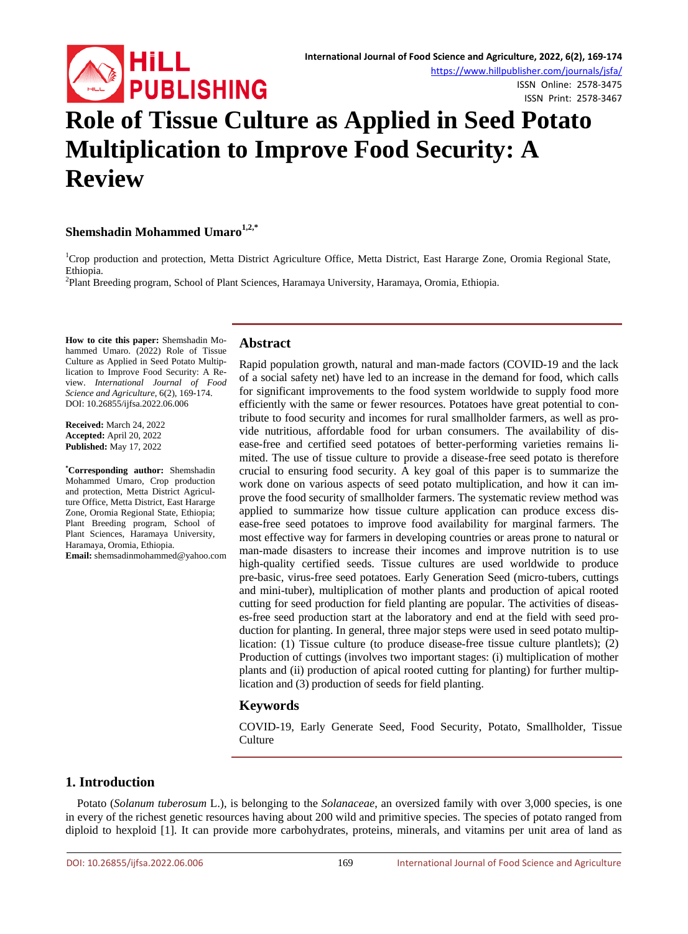

ISSN Online: 2578-3475 ISSN Print: 2578-3467

# **Role of Tissue Culture as Applied in Seed Potato Multiplication to Improve Food Security: A Review**

# **Shemshadin Mohammed Umaro1,2,\***

<sup>1</sup>Crop production and protection, Metta District Agriculture Office, Metta District, East Hararge Zone, Oromia Regional State, Ethiopia.

Plant Breeding program, School of Plant Sciences, Haramaya University, Haramaya, Oromia, Ethiopia.

**How to cite this paper:** Shemshadin Mohammed Umaro. (2022) Role of Tissue Culture as Applied in Seed Potato Multiplication to Improve Food Security: A Review. *International Journal of Food Science and Agriculture*, 6(2), 169-174. DOI: 10.26855/ijfsa.2022.06.006

**Received:** March 24, 2022 **Accepted:** April 20, 2022 **Published:** May 17, 2022

**\* Corresponding author:** Shemshadin Mohammed Umaro, Crop production and protection, Metta District Agriculture Office, Metta District, East Hararge Zone, Oromia Regional State, Ethiopia; Plant Breeding program, School of Plant Sciences, Haramaya University, Haramaya, Oromia, Ethiopia. **Email:** shemsadinmohammed@yahoo.com

# **Abstract**

Rapid population growth, natural and man-made factors (COVID-19 and the lack of a social safety net) have led to an increase in the demand for food, which calls for significant improvements to the food system worldwide to supply food more efficiently with the same or fewer resources. Potatoes have great potential to contribute to food security and incomes for rural smallholder farmers, as well as provide nutritious, affordable food for urban consumers. The availability of disease-free and certified seed potatoes of better-performing varieties remains limited. The use of tissue culture to provide a disease-free seed potato is therefore crucial to ensuring food security. A key goal of this paper is to summarize the work done on various aspects of seed potato multiplication, and how it can improve the food security of smallholder farmers. The systematic review method was applied to summarize how tissue culture application can produce excess disease-free seed potatoes to improve food availability for marginal farmers. The most effective way for farmers in developing countries or areas prone to natural or man-made disasters to increase their incomes and improve nutrition is to use high-quality certified seeds. Tissue cultures are used worldwide to produce pre-basic, virus-free seed potatoes. Early Generation Seed (micro-tubers, cuttings and mini-tuber), multiplication of mother plants and production of apical rooted cutting for seed production for field planting are popular. The activities of diseases-free seed production start at the laboratory and end at the field with seed production for planting. In general, three major steps were used in seed potato multiplication: (1) Tissue culture (to produce disease-free tissue culture plantlets); (2) Production of cuttings (involves two important stages: (i) multiplication of mother plants and (ii) production of apical rooted cutting for planting) for further multiplication and (3) production of seeds for field planting.

# **Keywords**

COVID-19, Early Generate Seed, Food Security, Potato, Smallholder, Tissue **Culture** 

# **1. Introduction**

Potato (*Solanum tuberosum* L.), is belonging to the *Solanaceae*, an oversized family with over 3,000 species, is one in every of the richest genetic resources having about 200 wild and primitive species. The species of potato ranged from diploid to hexploid [1]. It can provide more carbohydrates, proteins, minerals, and vitamins per unit area of land as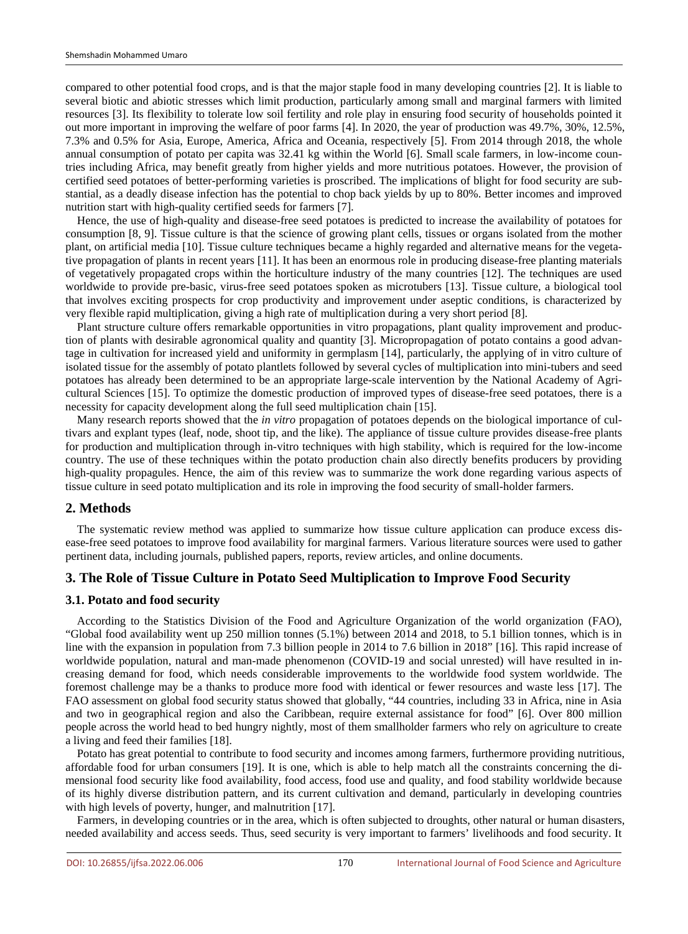compared to other potential food crops, and is that the major staple food in many developing countries [2]. It is liable to several biotic and abiotic stresses which limit production, particularly among small and marginal farmers with limited resources [3]. Its flexibility to tolerate low soil fertility and role play in ensuring food security of households pointed it out more important in improving the welfare of poor farms [4]. In 2020, the year of production was 49.7%, 30%, 12.5%, 7.3% and 0.5% for Asia, Europe, America, Africa and Oceania, respectively [5]. From 2014 through 2018, the whole annual consumption of potato per capita was 32.41 kg within the World [6]. Small scale farmers, in low-income countries including Africa, may benefit greatly from higher yields and more nutritious potatoes. However, the provision of certified seed potatoes of better-performing varieties is proscribed. The implications of blight for food security are substantial, as a deadly disease infection has the potential to chop back yields by up to 80%. Better incomes and improved nutrition start with high-quality certified seeds for farmers [7].

Hence, the use of high-quality and disease-free seed potatoes is predicted to increase the availability of potatoes for consumption [8, 9]. Tissue culture is that the science of growing plant cells, tissues or organs isolated from the mother plant, on artificial media [10]. Tissue culture techniques became a highly regarded and alternative means for the vegetative propagation of plants in recent years [11]. It has been an enormous role in producing disease-free planting materials of vegetatively propagated crops within the horticulture industry of the many countries [12]. The techniques are used worldwide to provide pre-basic, virus-free seed potatoes spoken as microtubers [13]. Tissue culture, a biological tool that involves exciting prospects for crop productivity and improvement under aseptic conditions, is characterized by very flexible rapid multiplication, giving a high rate of multiplication during a very short period [8].

Plant structure culture offers remarkable opportunities in vitro propagations, plant quality improvement and production of plants with desirable agronomical quality and quantity [3]. Micropropagation of potato contains a good advantage in cultivation for increased yield and uniformity in germplasm [14], particularly, the applying of in vitro culture of isolated tissue for the assembly of potato plantlets followed by several cycles of multiplication into mini-tubers and seed potatoes has already been determined to be an appropriate large-scale intervention by the National Academy of Agricultural Sciences [15]. To optimize the domestic production of improved types of disease-free seed potatoes, there is a necessity for capacity development along the full seed multiplication chain [15].

Many research reports showed that the *in vitro* propagation of potatoes depends on the biological importance of cultivars and explant types (leaf, node, shoot tip, and the like). The appliance of tissue culture provides disease-free plants for production and multiplication through in-vitro techniques with high stability, which is required for the low-income country. The use of these techniques within the potato production chain also directly benefits producers by providing high-quality propagules. Hence, the aim of this review was to summarize the work done regarding various aspects of tissue culture in seed potato multiplication and its role in improving the food security of small-holder farmers.

## **2. Methods**

The systematic review method was applied to summarize how tissue culture application can produce excess disease-free seed potatoes to improve food availability for marginal farmers. Various literature sources were used to gather pertinent data, including journals, published papers, reports, review articles, and online documents.

## **3. The Role of Tissue Culture in Potato Seed Multiplication to Improve Food Security**

#### **3.1. Potato and food security**

According to the Statistics Division of the Food and Agriculture Organization of the world organization (FAO), "Global food availability went up 250 million tonnes (5.1%) between 2014 and 2018, to 5.1 billion tonnes, which is in line with the expansion in population from 7.3 billion people in 2014 to 7.6 billion in 2018" [16]. This rapid increase of worldwide population, natural and man-made phenomenon (COVID-19 and social unrested) will have resulted in increasing demand for food, which needs considerable improvements to the worldwide food system worldwide. The foremost challenge may be a thanks to produce more food with identical or fewer resources and waste less [17]. The FAO assessment on global food security status showed that globally, "44 countries, including 33 in Africa, nine in Asia and two in geographical region and also the Caribbean, require external assistance for food" [6]. Over 800 million people across the world head to bed hungry nightly, most of them smallholder farmers who rely on agriculture to create a living and feed their families [18].

Potato has great potential to contribute to food security and incomes among farmers, furthermore providing nutritious, affordable food for urban consumers [19]. It is one, which is able to help match all the constraints concerning the dimensional food security like food availability, food access, food use and quality, and food stability worldwide because of its highly diverse distribution pattern, and its current cultivation and demand, particularly in developing countries with high levels of poverty, hunger, and malnutrition [17].

Farmers, in developing countries or in the area, which is often subjected to droughts, other natural or human disasters, needed availability and access seeds. Thus, seed security is very important to farmers' livelihoods and food security. It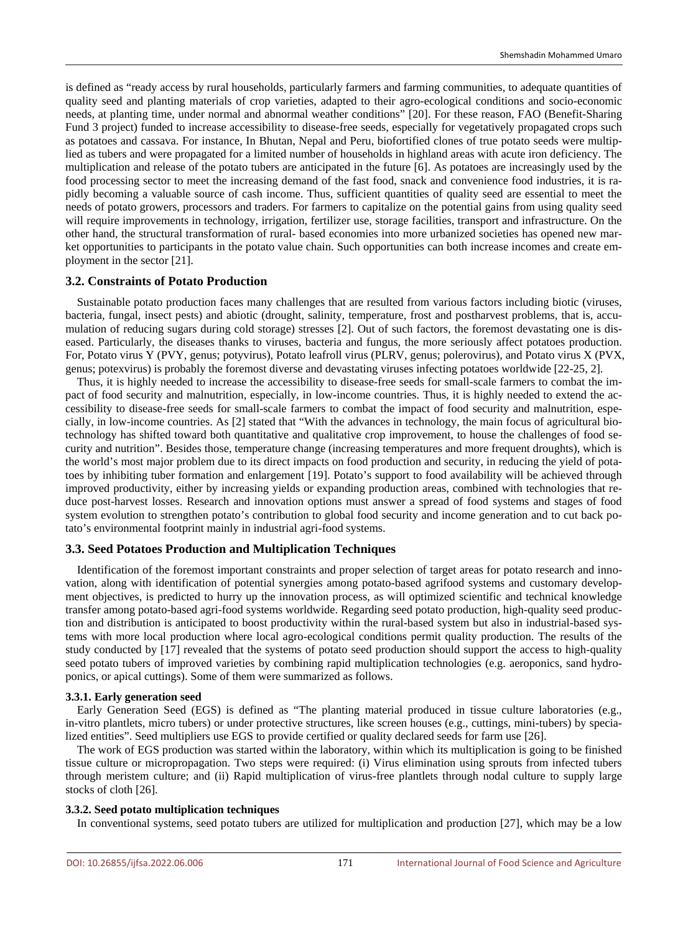is defined as "ready access by rural households, particularly farmers and farming communities, to adequate quantities of quality seed and planting materials of crop varieties, adapted to their agro-ecological conditions and socio-economic needs, at planting time, under normal and abnormal weather conditions" [20]. For these reason, FAO (Benefit-Sharing Fund 3 project) funded to increase accessibility to disease-free seeds, especially for vegetatively propagated crops such as potatoes and cassava. For instance, In Bhutan, Nepal and Peru, biofortified clones of true potato seeds were multiplied as tubers and were propagated for a limited number of households in highland areas with acute iron deficiency. The multiplication and release of the potato tubers are anticipated in the future [6]. As potatoes are increasingly used by the food processing sector to meet the increasing demand of the fast food, snack and convenience food industries, it is rapidly becoming a valuable source of cash income. Thus, sufficient quantities of quality seed are essential to meet the needs of potato growers, processors and traders. For farmers to capitalize on the potential gains from using quality seed will require improvements in technology, irrigation, fertilizer use, storage facilities, transport and infrastructure. On the other hand, the structural transformation of rural- based economies into more urbanized societies has opened new market opportunities to participants in the potato value chain. Such opportunities can both increase incomes and create employment in the sector [21].

#### **3.2. Constraints of Potato Production**

Sustainable potato production faces many challenges that are resulted from various factors including biotic (viruses, bacteria, fungal, insect pests) and abiotic (drought, salinity, temperature, frost and postharvest problems, that is, accumulation of reducing sugars during cold storage) stresses [2]. Out of such factors, the foremost devastating one is diseased. Particularly, the diseases thanks to viruses, bacteria and fungus, the more seriously affect potatoes production. For, Potato virus Y (PVY, genus; potyvirus), Potato leafroll virus (PLRV, genus; polerovirus), and Potato virus X (PVX, genus; potexvirus) is probably the foremost diverse and devastating viruses infecting potatoes worldwide [22-25, 2].

Thus, it is highly needed to increase the accessibility to disease-free seeds for small-scale farmers to combat the impact of food security and malnutrition, especially, in low-income countries. Thus, it is highly needed to extend the accessibility to disease-free seeds for small-scale farmers to combat the impact of food security and malnutrition, especially, in low-income countries. As [2] stated that "With the advances in technology, the main focus of agricultural biotechnology has shifted toward both quantitative and qualitative crop improvement, to house the challenges of food security and nutrition". Besides those, temperature change (increasing temperatures and more frequent droughts), which is the world's most major problem due to its direct impacts on food production and security, in reducing the yield of potatoes by inhibiting tuber formation and enlargement [19]. Potato's support to food availability will be achieved through improved productivity, either by increasing yields or expanding production areas, combined with technologies that reduce post-harvest losses. Research and innovation options must answer a spread of food systems and stages of food system evolution to strengthen potato's contribution to global food security and income generation and to cut back potato's environmental footprint mainly in industrial agri-food systems.

# **3.3. Seed Potatoes Production and Multiplication Techniques**

Identification of the foremost important constraints and proper selection of target areas for potato research and innovation, along with identification of potential synergies among potato-based agrifood systems and customary development objectives, is predicted to hurry up the innovation process, as will optimized scientific and technical knowledge transfer among potato-based agri-food systems worldwide. Regarding seed potato production, high-quality seed production and distribution is anticipated to boost productivity within the rural-based system but also in industrial-based systems with more local production where local agro-ecological conditions permit quality production. The results of the study conducted by [17] revealed that the systems of potato seed production should support the access to high-quality seed potato tubers of improved varieties by combining rapid multiplication technologies (e.g. aeroponics, sand hydroponics, or apical cuttings). Some of them were summarized as follows.

#### **3.3.1. Early generation seed**

Early Generation Seed (EGS) is defined as "The planting material produced in tissue culture laboratories (e.g., in-vitro plantlets, micro tubers) or under protective structures, like screen houses (e.g., cuttings, mini-tubers) by specialized entities". Seed multipliers use EGS to provide certified or quality declared seeds for farm use [26].

The work of EGS production was started within the laboratory, within which its multiplication is going to be finished tissue culture or micropropagation. Two steps were required: (i) Virus elimination using sprouts from infected tubers through meristem culture; and (ii) Rapid multiplication of virus-free plantlets through nodal culture to supply large stocks of cloth [26].

#### **3.3.2. Seed potato multiplication techniques**

In conventional systems, seed potato tubers are utilized for multiplication and production [27], which may be a low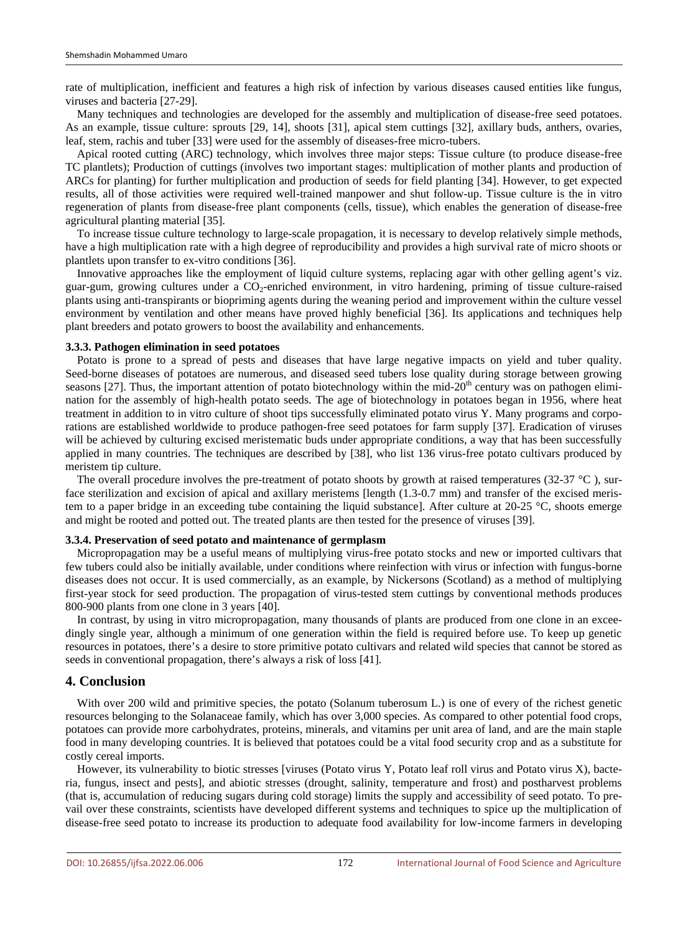rate of multiplication, inefficient and features a high risk of infection by various diseases caused entities like fungus, viruses and bacteria [27-29].

Many techniques and technologies are developed for the assembly and multiplication of disease-free seed potatoes. As an example, tissue culture: sprouts [29, 14], shoots [31], apical stem cuttings [32], axillary buds, anthers, ovaries, leaf, stem, rachis and tuber [33] were used for the assembly of diseases-free micro-tubers.

Apical rooted cutting (ARC) technology, which involves three major steps: Tissue culture (to produce disease-free TC plantlets); Production of cuttings (involves two important stages: multiplication of mother plants and production of ARCs for planting) for further multiplication and production of seeds for field planting [34]. However, to get expected results, all of those activities were required well-trained manpower and shut follow-up. Tissue culture is the in vitro regeneration of plants from disease-free plant components (cells, tissue), which enables the generation of disease-free agricultural planting material [35].

To increase tissue culture technology to large-scale propagation, it is necessary to develop relatively simple methods, have a high multiplication rate with a high degree of reproducibility and provides a high survival rate of micro shoots or plantlets upon transfer to ex-vitro conditions [36].

Innovative approaches like the employment of liquid culture systems, replacing agar with other gelling agent's viz. guar-gum, growing cultures under a CO<sub>2</sub>-enriched environment, in vitro hardening, priming of tissue culture-raised plants using anti-transpirants or biopriming agents during the weaning period and improvement within the culture vessel environment by ventilation and other means have proved highly beneficial [36]. Its applications and techniques help plant breeders and potato growers to boost the availability and enhancements.

#### **3.3.3. Pathogen elimination in seed potatoes**

Potato is prone to a spread of pests and diseases that have large negative impacts on yield and tuber quality. Seed-borne diseases of potatoes are numerous, and diseased seed tubers lose quality during storage between growing seasons [27]. Thus, the important attention of potato biotechnology within the mid-20<sup>th</sup> century was on pathogen elimination for the assembly of high-health potato seeds. The age of biotechnology in potatoes began in 1956, where heat treatment in addition to in vitro culture of shoot tips successfully eliminated potato virus Y. Many programs and corporations are established worldwide to produce pathogen-free seed potatoes for farm supply [37]. Eradication of viruses will be achieved by culturing excised meristematic buds under appropriate conditions, a way that has been successfully applied in many countries. The techniques are described by [38], who list 136 virus-free potato cultivars produced by meristem tip culture.

The overall procedure involves the pre-treatment of potato shoots by growth at raised temperatures (32-37  $^{\circ}$ C), surface sterilization and excision of apical and axillary meristems [length (1.3-0.7 mm) and transfer of the excised meristem to a paper bridge in an exceeding tube containing the liquid substance]. After culture at 20-25 °C, shoots emerge and might be rooted and potted out. The treated plants are then tested for the presence of viruses [39].

#### **3.3.4. Preservation of seed potato and maintenance of germplasm**

Micropropagation may be a useful means of multiplying virus-free potato stocks and new or imported cultivars that few tubers could also be initially available, under conditions where reinfection with virus or infection with fungus-borne diseases does not occur. It is used commercially, as an example, by Nickersons (Scotland) as a method of multiplying first-year stock for seed production. The propagation of virus-tested stem cuttings by conventional methods produces 800-900 plants from one clone in 3 years [40].

In contrast, by using in vitro micropropagation, many thousands of plants are produced from one clone in an exceedingly single year, although a minimum of one generation within the field is required before use. To keep up genetic resources in potatoes, there's a desire to store primitive potato cultivars and related wild species that cannot be stored as seeds in conventional propagation, there's always a risk of loss [41].

## **4. Conclusion**

With over 200 wild and primitive species, the potato (Solanum tuberosum L.) is one of every of the richest genetic resources belonging to the Solanaceae family, which has over 3,000 species. As compared to other potential food crops, potatoes can provide more carbohydrates, proteins, minerals, and vitamins per unit area of land, and are the main staple food in many developing countries. It is believed that potatoes could be a vital food security crop and as a substitute for costly cereal imports.

However, its vulnerability to biotic stresses [viruses (Potato virus Y, Potato leaf roll virus and Potato virus X), bacteria, fungus, insect and pests], and abiotic stresses (drought, salinity, temperature and frost) and postharvest problems (that is, accumulation of reducing sugars during cold storage) limits the supply and accessibility of seed potato. To prevail over these constraints, scientists have developed different systems and techniques to spice up the multiplication of disease-free seed potato to increase its production to adequate food availability for low-income farmers in developing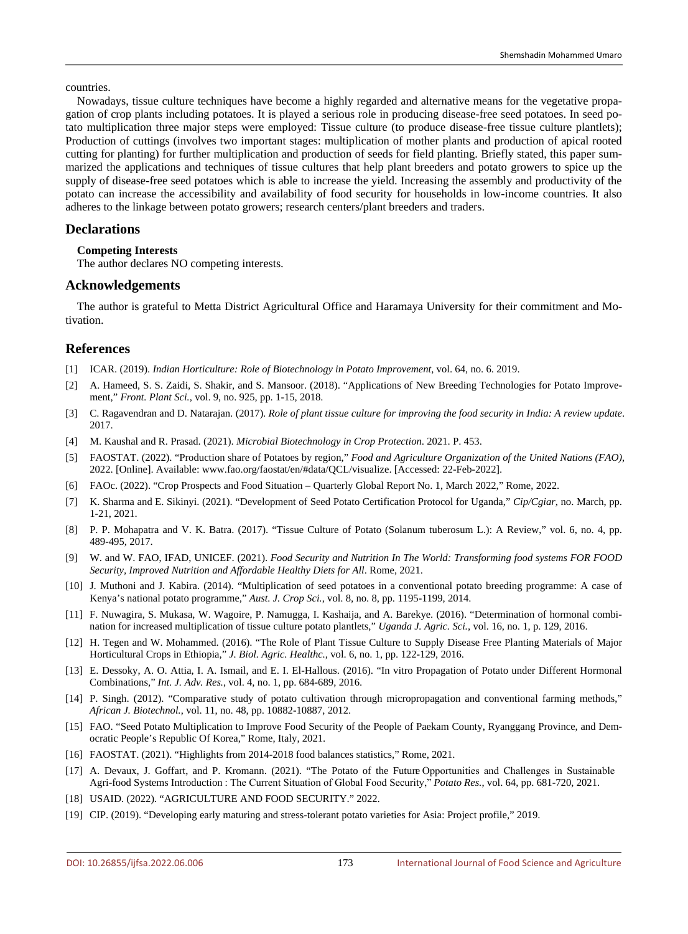countries.

Nowadays, tissue culture techniques have become a highly regarded and alternative means for the vegetative propagation of crop plants including potatoes. It is played a serious role in producing disease-free seed potatoes. In seed potato multiplication three major steps were employed: Tissue culture (to produce disease-free tissue culture plantlets); Production of cuttings (involves two important stages: multiplication of mother plants and production of apical rooted cutting for planting) for further multiplication and production of seeds for field planting. Briefly stated, this paper summarized the applications and techniques of tissue cultures that help plant breeders and potato growers to spice up the supply of disease-free seed potatoes which is able to increase the yield. Increasing the assembly and productivity of the potato can increase the accessibility and availability of food security for households in low-income countries. It also adheres to the linkage between potato growers; research centers/plant breeders and traders.

# **Declarations**

## **Competing Interests**

The author declares NO competing interests.

# **Acknowledgements**

The author is grateful to Metta District Agricultural Office and Haramaya University for their commitment and Motivation.

# **References**

- [1] ICAR. (2019). *Indian Horticulture: Role of Biotechnology in Potato Improvement*, vol. 64, no. 6. 2019.
- [2] A. Hameed, S. S. Zaidi, S. Shakir, and S. Mansoor. (2018). "Applications of New Breeding Technologies for Potato Improvement," *Front. Plant Sci.*, vol. 9, no. 925, pp. 1-15, 2018.
- [3] C. Ragavendran and D. Natarajan. (2017). *Role of plant tissue culture for improving the food security in India: A review update*. 2017.
- [4] M. Kaushal and R. Prasad. (2021). *Microbial Biotechnology in Crop Protection*. 2021. P. 453.
- [5] FAOSTAT. (2022). "Production share of Potatoes by region," *Food and Agriculture Organization of the United Nations (FAO)*, 2022. [Online]. Available: www.fao.org/faostat/en/#data/QCL/visualize. [Accessed: 22-Feb-2022].
- [6] FAOc. (2022). "Crop Prospects and Food Situation Quarterly Global Report No. 1, March 2022," Rome, 2022.
- [7] K. Sharma and E. Sikinyi. (2021). "Development of Seed Potato Certification Protocol for Uganda," *Cip/Cgiar*, no. March, pp. 1-21, 2021.
- [8] P. P. Mohapatra and V. K. Batra. (2017). "Tissue Culture of Potato (Solanum tuberosum L.): A Review," vol. 6, no. 4, pp. 489-495, 2017.
- [9] W. and W. FAO, IFAD, UNICEF. (2021). *Food Security and Nutrition In The World: Transforming food systems FOR FOOD Security, Improved Nutrition and Affordable Healthy Diets for All*. Rome, 2021.
- [10] J. Muthoni and J. Kabira. (2014). "Multiplication of seed potatoes in a conventional potato breeding programme: A case of Kenya's national potato programme," *Aust. J. Crop Sci.*, vol. 8, no. 8, pp. 1195-1199, 2014.
- [11] F. Nuwagira, S. Mukasa, W. Wagoire, P. Namugga, I. Kashaija, and A. Barekye. (2016). "Determination of hormonal combination for increased multiplication of tissue culture potato plantlets," *Uganda J. Agric. Sci.*, vol. 16, no. 1, p. 129, 2016.
- [12] H. Tegen and W. Mohammed. (2016). "The Role of Plant Tissue Culture to Supply Disease Free Planting Materials of Major Horticultural Crops in Ethiopia," *J. Biol. Agric. Healthc.*, vol. 6, no. 1, pp. 122-129, 2016.
- [13] E. Dessoky, A. O. Attia, I. A. Ismail, and E. I. El-Hallous. (2016). "In vitro Propagation of Potato under Different Hormonal Combinations," *Int. J. Adv. Res.*, vol. 4, no. 1, pp. 684-689, 2016.
- [14] P. Singh. (2012). "Comparative study of potato cultivation through micropropagation and conventional farming methods," *African J. Biotechnol.*, vol. 11, no. 48, pp. 10882-10887, 2012.
- [15] FAO. "Seed Potato Multiplication to Improve Food Security of the People of Paekam County, Ryanggang Province, and Democratic People's Republic Of Korea," Rome, Italy, 2021.
- [16] FAOSTAT. (2021). "Highlights from 2014-2018 food balances statistics," Rome, 2021.
- [17] A. Devaux, J. Goffart, and P. Kromann. (2021). "The Potato of the Future Opportunities and Challenges in Sustainable Agri-food Systems Introduction : The Current Situation of Global Food Security," *Potato Res.*, vol. 64, pp. 681-720, 2021.
- [18] USAID. (2022). "AGRICULTURE AND FOOD SECURITY." 2022.
- [19] CIP. (2019). "Developing early maturing and stress-tolerant potato varieties for Asia: Project profile," 2019.